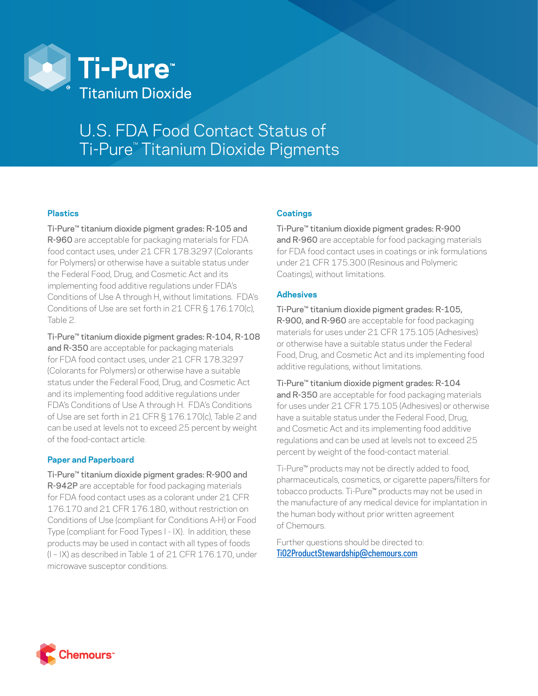

# U.S. FDA Food Contact Status of Ti-Pure™ Titanium Dioxide Pigments

### **Plastics**

Ti-Pure™ titanium dioxide pigment grades: R-105 and R-960 are acceptable for packaging materials for FDA food contact uses, under 21 CFR 178.3297 (Colorants for Polymers) or otherwise have a suitable status under the Federal Food, Drug, and Cosmetic Act and its implementing food additive regulations under FDA's Conditions of Use A through H, without limitations. FDA's Conditions of Use are set forth in 21 CFR § 176.170(c), Table 2.

Ti-Pure™ titanium dioxide pigment grades: R-104, R-108 and R-350 are acceptable for packaging materials for FDA food contact uses, under 21 CFR 178.3297 (Colorants for Polymers) or otherwise have a suitable status under the Federal Food, Drug, and Cosmetic Act and its implementing food additive regulations under FDA's Conditions of Use A through H. FDA's Conditions of Use are set forth in 21 CFR § 176.170(c), Table 2 and can be used at levels not to exceed 25 percent by weight of the food-contact article.

# **Paper and Paperboard**

Ti-Pure™ titanium dioxide pigment grades: R-900 and R-942P are acceptable for food packaging materials for FDA food contact uses as a colorant under 21 CFR 176.170 and 21 CFR 176.180, without restriction on Conditions of Use (compliant for Conditions A-H) or Food Type (compliant for Food Types I - IX). In addition, these products may be used in contact with all types of foods (I – IX) as described in Table 1 of 21 CFR 176.170, under microwave susceptor conditions.

# **Coatings**

Ti-Pure™ titanium dioxide pigment grades: R-900 and R-960 are acceptable for food packaging materials for FDA food contact uses in coatings or ink formulations under 21 CFR 175.300 (Resinous and Polymeric Coatings), without limitations.

### **Adhesives**

Ti-Pure™ titanium dioxide pigment grades: R-105, R-900, and R-960 are acceptable for food packaging materials for uses under 21 CFR 175.105 (Adhesives) or otherwise have a suitable status under the Federal Food, Drug, and Cosmetic Act and its implementing food additive regulations, without limitations.

Ti-Pure™ titanium dioxide pigment grades: R-104 and R-350 are acceptable for food packaging materials for uses under 21 CFR 175.105 (Adhesives) or otherwise have a suitable status under the Federal Food, Drug, and Cosmetic Act and its implementing food additive regulations and can be used at levels not to exceed 25 percent by weight of the food-contact material.

Ti-Pure™ products may not be directly added to food, pharmaceuticals, cosmetics, or cigarette papers/filters for tobacco products. Ti-Pure™ products may not be used in the manufacture of any medical device for implantation in the human body without prior written agreement of Chemours.

Further questions should be directed to: [TiO2ProductStewardship@chemours.com](mailto:TiO2ProductStewardship@chemours.com)